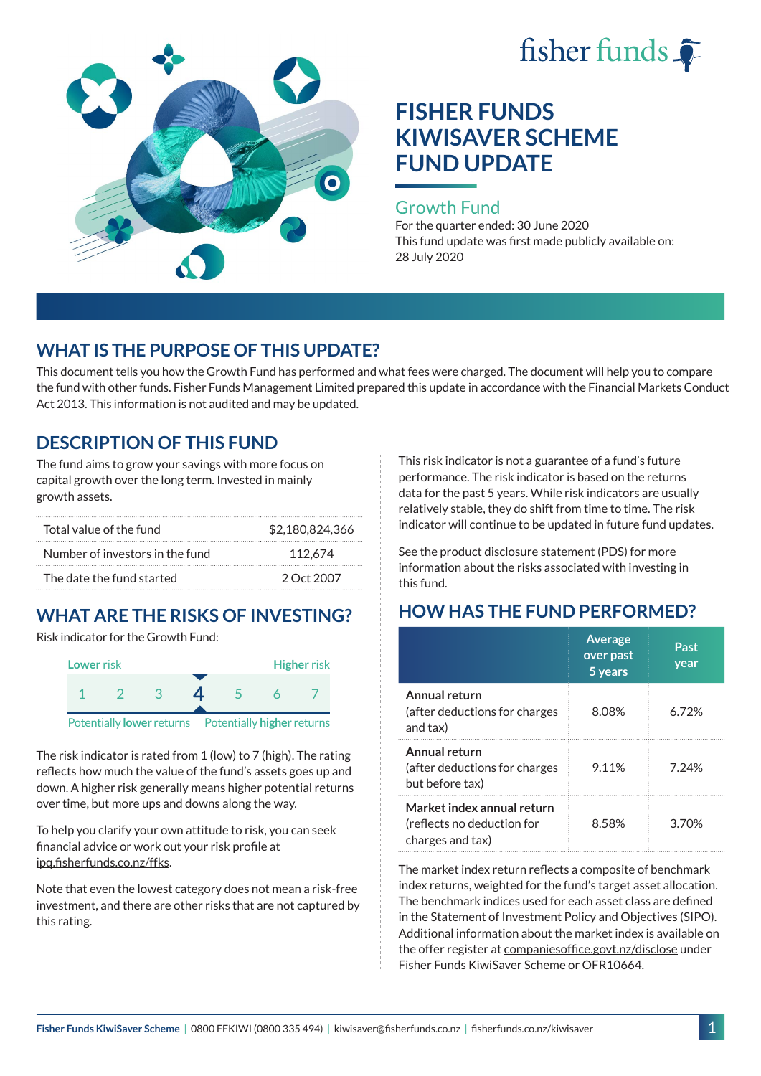



### Growth Fund

For the quarter ended: 30 June 2020 This fund update was first made publicly available on: 28 July 2020

## **WHAT IS THE PURPOSE OF THIS UPDATE?**

This document tells you how the Growth Fund has performed and what fees were charged. The document will help you to compare the fund with other funds. Fisher Funds Management Limited prepared this update in accordance with the Financial Markets Conduct Act 2013. This information is not audited and may be updated.

## **DESCRIPTION OF THIS FUND**

The fund aims to grow your savings with more focus on capital growth over the long term. Invested in mainly growth assets.

| Total value of the fund         | \$2,180,824,366 |  |  |
|---------------------------------|-----------------|--|--|
| Number of investors in the fund | 112.674         |  |  |
| The date the fund started       | 2 Oct 2007      |  |  |

# **WHAT ARE THE RISKS OF INVESTING?**

Risk indicator for the Growth Fund:



The risk indicator is rated from 1 (low) to 7 (high). The rating reflects how much the value of the fund's assets goes up and down. A higher risk generally means higher potential returns over time, but more ups and downs along the way.

To help you clarify your own attitude to risk, you can seek financial advice or work out your risk profile at [ipq.fisherfunds.co.nz/ffks](https://ipq.fisherfunds.co.nz/ffks).

Note that even the lowest category does not mean a risk-free investment, and there are other risks that are not captured by this rating.

This risk indicator is not a guarantee of a fund's future performance. The risk indicator is based on the returns data for the past 5 years. While risk indicators are usually relatively stable, they do shift from time to time. The risk indicator will continue to be updated in future fund updates.

See the [product disclosure statement \(PDS\)](https://fisherfunds.co.nz/assets/PDS/Fisher-Funds-KiwiSaver-Scheme-PDS.pdf) for more information about the risks associated with investing in this fund.

## **HOW HAS THE FUND PERFORMED?**

|                                                                              | <b>Average</b><br>over past<br>5 years | Past<br>year |
|------------------------------------------------------------------------------|----------------------------------------|--------------|
| Annual return<br>(after deductions for charges<br>and tax)                   | 8.08%                                  | 6.72%        |
| Annual return<br>(after deductions for charges<br>but before tax)            | 9.11%                                  | 7.24%        |
| Market index annual return<br>(reflects no deduction for<br>charges and tax) | 8.58%                                  | 3.70%        |

The market index return reflects a composite of benchmark index returns, weighted for the fund's target asset allocation. The benchmark indices used for each asset class are defined in the Statement of Investment Policy and Objectives (SIPO). Additional information about the market index is available on the offer register at [companiesoffice.govt.nz/disclose](http://companiesoffice.govt.nz/disclose) under Fisher Funds KiwiSaver Scheme or OFR10664.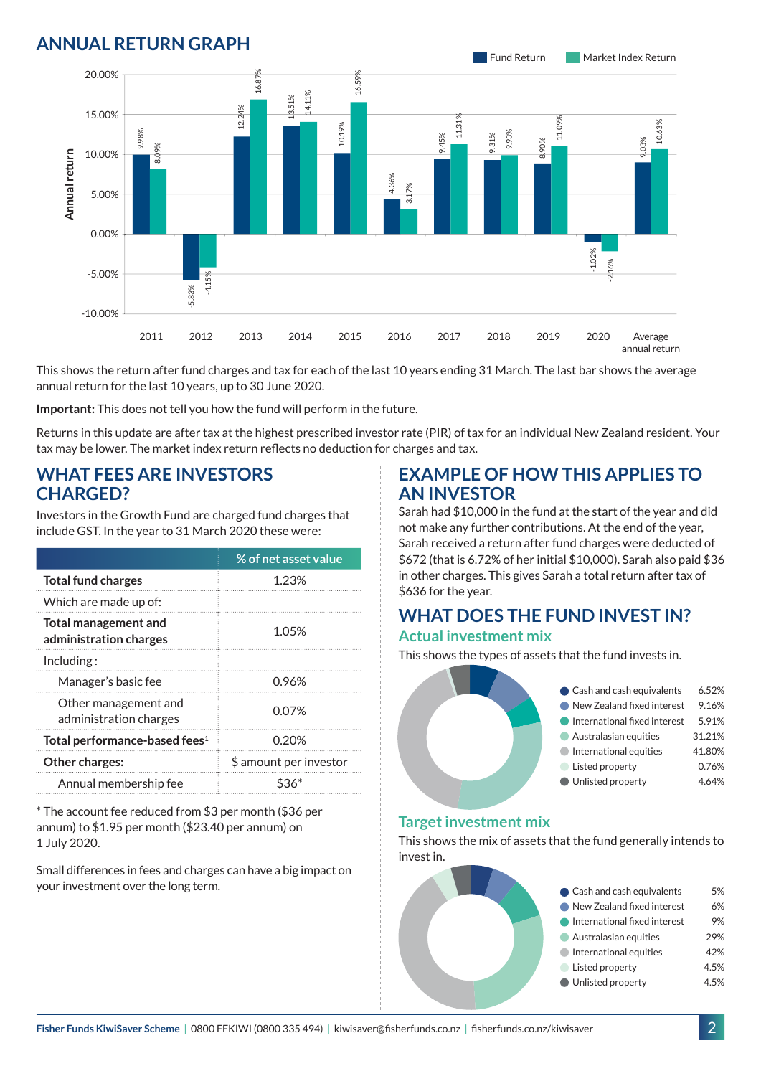## **ANNUAL RETURN GRAPH**



This shows the return after fund charges and tax for each of the last 10 years ending 31 March. The last bar shows the average annual return for the last 10 years, up to 30 June 2020.

**Important:** This does not tell you how the fund will perform in the future.

Returns in this update are after tax at the highest prescribed investor rate (PIR) of tax for an individual New Zealand resident. Your tax may be lower. The market index return reflects no deduction for charges and tax.

### **WHAT FEES ARE INVESTORS CHARGED?**

Investors in the Growth Fund are charged fund charges that include GST. In the year to 31 March 2020 these were:

|                                                       | % of net asset value   |  |
|-------------------------------------------------------|------------------------|--|
| <b>Total fund charges</b>                             | 1.23%                  |  |
| Which are made up of:                                 |                        |  |
| <b>Total management and</b><br>administration charges | 1.05%                  |  |
| Including:                                            |                        |  |
| Manager's basic fee                                   | 0.96%                  |  |
| Other management and<br>administration charges        | 0.07%                  |  |
| Total performance-based fees <sup>1</sup>             | 0.20%                  |  |
| Other charges:                                        | \$ amount per investor |  |
| Annual membership fee                                 |                        |  |

\* The account fee reduced from \$3 per month (\$36 per annum) to \$1.95 per month (\$23.40 per annum) on 1 July 2020.

Small differences in fees and charges can have a big impact on your investment over the long term.

### **EXAMPLE OF HOW THIS APPLIES TO AN INVESTOR**

Sarah had \$10,000 in the fund at the start of the year and did not make any further contributions. At the end of the year, Sarah received a return after fund charges were deducted of \$672 (that is 6.72% of her initial \$10,000). Sarah also paid \$36 in other charges. This gives Sarah a total return after tax of \$636 for the year.

#### **WHAT DOES THE FUND INVEST IN? Actual investment mix**

This shows the types of assets that the fund invests in.



#### **Target investment mix**

This shows the mix of assets that the fund generally intends to invest in.